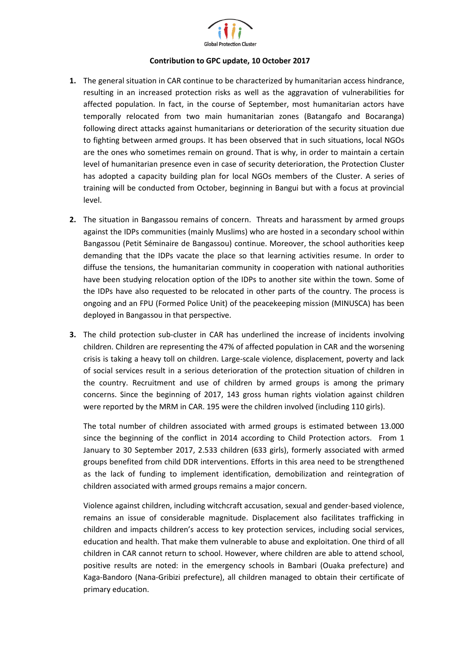

## **Contribution to GPC update, 10 October 2017**

- **1.** The general situation in CAR continue to be characterized by humanitarian access hindrance, resulting in an increased protection risks as well as the aggravation of vulnerabilities for affected population. In fact, in the course of September, most humanitarian actors have temporally relocated from two main humanitarian zones (Batangafo and Bocaranga) following direct attacks against humanitarians or deterioration of the security situation due to fighting between armed groups. It has been observed that in such situations, local NGOs are the ones who sometimes remain on ground. That is why, in order to maintain a certain level of humanitarian presence even in case of security deterioration, the Protection Cluster has adopted a capacity building plan for local NGOs members of the Cluster. A series of training will be conducted from October, beginning in Bangui but with a focus at provincial level.
- **2.** The situation in Bangassou remains of concern. Threats and harassment by armed groups against the IDPs communities (mainly Muslims) who are hosted in a secondary school within Bangassou (Petit Séminaire de Bangassou) continue. Moreover, the school authorities keep demanding that the IDPs vacate the place so that learning activities resume. In order to diffuse the tensions, the humanitarian community in cooperation with national authorities have been studying relocation option of the IDPs to another site within the town. Some of the IDPs have also requested to be relocated in other parts of the country. The process is ongoing and an FPU (Formed Police Unit) of the peacekeeping mission (MINUSCA) has been deployed in Bangassou in that perspective.
- **3.** The child protection sub-cluster in CAR has underlined the increase of incidents involving children. Children are representing the 47% of affected population in CAR and the worsening crisis is taking a heavy toll on children. Large-scale violence, displacement, poverty and lack of social services result in a serious deterioration of the protection situation of children in the country. Recruitment and use of children by armed groups is among the primary concerns. Since the beginning of 2017, 143 gross human rights violation against children were reported by the MRM in CAR. 195 were the children involved (including 110 girls).

The total number of children associated with armed groups is estimated between 13.000 since the beginning of the conflict in 2014 according to Child Protection actors. From 1 January to 30 September 2017, 2.533 children (633 girls), formerly associated with armed groups benefited from child DDR interventions. Efforts in this area need to be strengthened as the lack of funding to implement identification, demobilization and reintegration of children associated with armed groups remains a major concern.

Violence against children, including witchcraft accusation, sexual and gender-based violence, remains an issue of considerable magnitude. Displacement also facilitates trafficking in children and impacts children's access to key protection services, including social services, education and health. That make them vulnerable to abuse and exploitation. One third of all children in CAR cannot return to school. However, where children are able to attend school, positive results are noted: in the emergency schools in Bambari (Ouaka prefecture) and Kaga-Bandoro (Nana-Gribizi prefecture), all children managed to obtain their certificate of primary education.